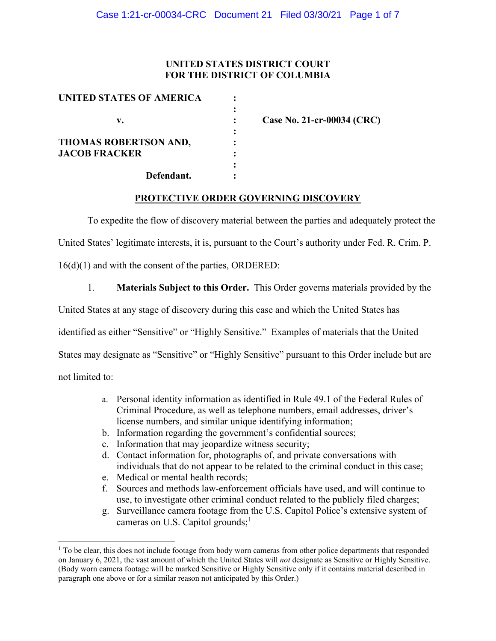### **UNITED STATES DISTRICT COURT FOR THE DISTRICT OF COLUMBIA**

| UNITED STATES OF AMERICA     |  |
|------------------------------|--|
|                              |  |
| v.                           |  |
|                              |  |
| <b>THOMAS ROBERTSON AND,</b> |  |
| <b>JACOB FRACKER</b>         |  |
|                              |  |
| Defendant.                   |  |

**v. : Case No. 21-cr-00034 (CRC)**

#### **PROTECTIVE ORDER GOVERNING DISCOVERY**

To expedite the flow of discovery material between the parties and adequately protect the

United States' legitimate interests, it is, pursuant to the Court's authority under Fed. R. Crim. P.

16(d)(1) and with the consent of the parties, ORDERED:

1. **Materials Subject to this Order.** This Order governs materials provided by the

United States at any stage of discovery during this case and which the United States has

identified as either "Sensitive" or "Highly Sensitive." Examples of materials that the United

States may designate as "Sensitive" or "Highly Sensitive" pursuant to this Order include but are

not limited to:

- a. Personal identity information as identified in Rule 49.1 of the Federal Rules of Criminal Procedure, as well as telephone numbers, email addresses, driver's license numbers, and similar unique identifying information;
- b. Information regarding the government's confidential sources;
- c. Information that may jeopardize witness security;
- d. Contact information for, photographs of, and private conversations with individuals that do not appear to be related to the criminal conduct in this case;
- e. Medical or mental health records;
- f. Sources and methods law-enforcement officials have used, and will continue to use, to investigate other criminal conduct related to the publicly filed charges;
- g. Surveillance camera footage from the U.S. Capitol Police's extensive system of cameras on U.S. Capitol grounds;<sup>1</sup>

<sup>&</sup>lt;sup>1</sup> To be clear, this does not include footage from body worn cameras from other police departments that responded on January 6, 2021, the vast amount of which the United States will *not* designate as Sensitive or Highly Sensitive. (Body worn camera footage will be marked Sensitive or Highly Sensitive only if it contains material described in paragraph one above or for a similar reason not anticipated by this Order.)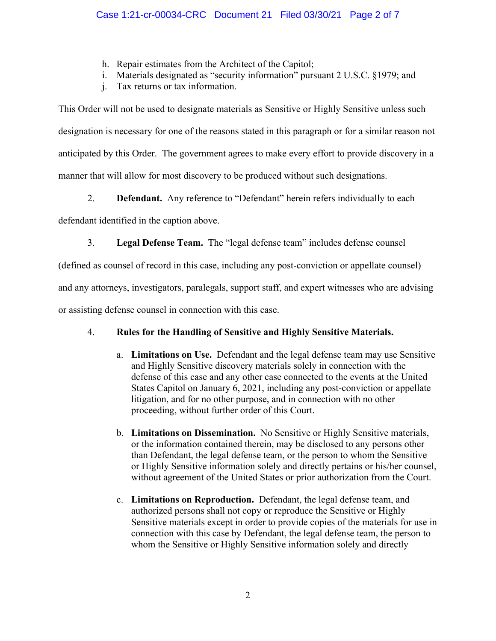- h. Repair estimates from the Architect of the Capitol;
- i. Materials designated as "security information" pursuant 2 U.S.C. §1979; and
- j. Tax returns or tax information.

This Order will not be used to designate materials as Sensitive or Highly Sensitive unless such designation is necessary for one of the reasons stated in this paragraph or for a similar reason not anticipated by this Order. The government agrees to make every effort to provide discovery in a manner that will allow for most discovery to be produced without such designations.

2. **Defendant.** Any reference to "Defendant" herein refers individually to each

defendant identified in the caption above.

3. **Legal Defense Team.** The "legal defense team" includes defense counsel

(defined as counsel of record in this case, including any post-conviction or appellate counsel)

and any attorneys, investigators, paralegals, support staff, and expert witnesses who are advising

or assisting defense counsel in connection with this case.

# 4. **Rules for the Handling of Sensitive and Highly Sensitive Materials.**

- a. **Limitations on Use.** Defendant and the legal defense team may use Sensitive and Highly Sensitive discovery materials solely in connection with the defense of this case and any other case connected to the events at the United States Capitol on January 6, 2021, including any post-conviction or appellate litigation, and for no other purpose, and in connection with no other proceeding, without further order of this Court.
- b. **Limitations on Dissemination.** No Sensitive or Highly Sensitive materials, or the information contained therein, may be disclosed to any persons other than Defendant, the legal defense team, or the person to whom the Sensitive or Highly Sensitive information solely and directly pertains or his/her counsel, without agreement of the United States or prior authorization from the Court.
- c. **Limitations on Reproduction.** Defendant, the legal defense team, and authorized persons shall not copy or reproduce the Sensitive or Highly Sensitive materials except in order to provide copies of the materials for use in connection with this case by Defendant, the legal defense team, the person to whom the Sensitive or Highly Sensitive information solely and directly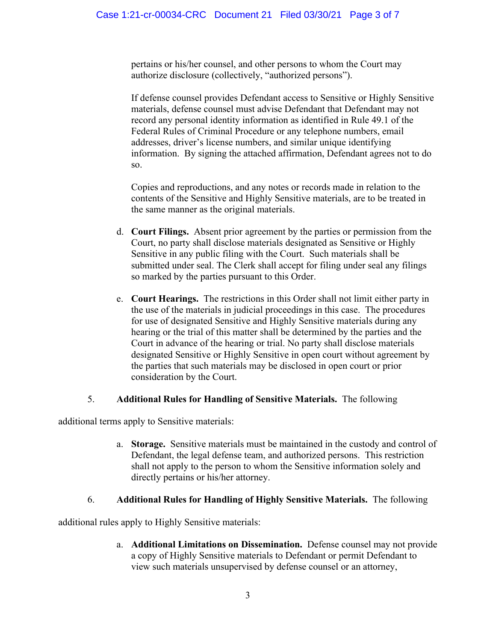pertains or his/her counsel, and other persons to whom the Court may authorize disclosure (collectively, "authorized persons").

If defense counsel provides Defendant access to Sensitive or Highly Sensitive materials, defense counsel must advise Defendant that Defendant may not record any personal identity information as identified in Rule 49.1 of the Federal Rules of Criminal Procedure or any telephone numbers, email addresses, driver's license numbers, and similar unique identifying information. By signing the attached affirmation, Defendant agrees not to do so.

Copies and reproductions, and any notes or records made in relation to the contents of the Sensitive and Highly Sensitive materials, are to be treated in the same manner as the original materials.

- d. **Court Filings.** Absent prior agreement by the parties or permission from the Court, no party shall disclose materials designated as Sensitive or Highly Sensitive in any public filing with the Court. Such materials shall be submitted under seal. The Clerk shall accept for filing under seal any filings so marked by the parties pursuant to this Order.
- e. **Court Hearings.** The restrictions in this Order shall not limit either party in the use of the materials in judicial proceedings in this case. The procedures for use of designated Sensitive and Highly Sensitive materials during any hearing or the trial of this matter shall be determined by the parties and the Court in advance of the hearing or trial. No party shall disclose materials designated Sensitive or Highly Sensitive in open court without agreement by the parties that such materials may be disclosed in open court or prior consideration by the Court.

# 5. **Additional Rules for Handling of Sensitive Materials.** The following

additional terms apply to Sensitive materials:

a. **Storage.** Sensitive materials must be maintained in the custody and control of Defendant, the legal defense team, and authorized persons. This restriction shall not apply to the person to whom the Sensitive information solely and directly pertains or his/her attorney.

# 6. **Additional Rules for Handling of Highly Sensitive Materials.** The following

additional rules apply to Highly Sensitive materials:

a. **Additional Limitations on Dissemination.** Defense counsel may not provide a copy of Highly Sensitive materials to Defendant or permit Defendant to view such materials unsupervised by defense counsel or an attorney,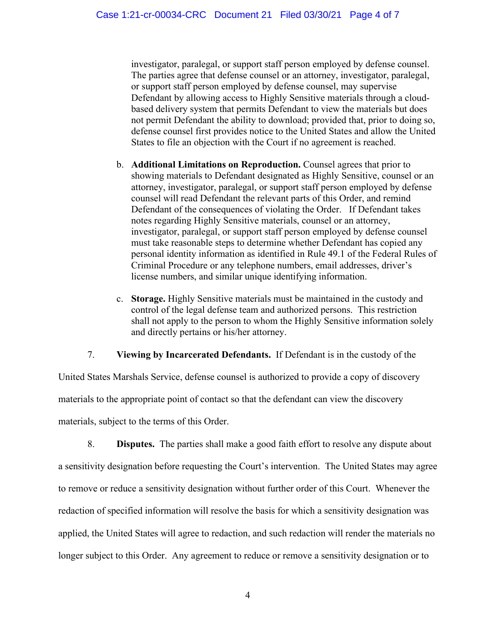investigator, paralegal, or support staff person employed by defense counsel. The parties agree that defense counsel or an attorney, investigator, paralegal, or support staff person employed by defense counsel, may supervise Defendant by allowing access to Highly Sensitive materials through a cloudbased delivery system that permits Defendant to view the materials but does not permit Defendant the ability to download; provided that, prior to doing so, defense counsel first provides notice to the United States and allow the United States to file an objection with the Court if no agreement is reached.

- b. **Additional Limitations on Reproduction.** Counsel agrees that prior to showing materials to Defendant designated as Highly Sensitive, counsel or an attorney, investigator, paralegal, or support staff person employed by defense counsel will read Defendant the relevant parts of this Order, and remind Defendant of the consequences of violating the Order. If Defendant takes notes regarding Highly Sensitive materials, counsel or an attorney, investigator, paralegal, or support staff person employed by defense counsel must take reasonable steps to determine whether Defendant has copied any personal identity information as identified in Rule 49.1 of the Federal Rules of Criminal Procedure or any telephone numbers, email addresses, driver's license numbers, and similar unique identifying information.
- c. **Storage.** Highly Sensitive materials must be maintained in the custody and control of the legal defense team and authorized persons. This restriction shall not apply to the person to whom the Highly Sensitive information solely and directly pertains or his/her attorney.

7. **Viewing by Incarcerated Defendants.** If Defendant is in the custody of the

United States Marshals Service, defense counsel is authorized to provide a copy of discovery materials to the appropriate point of contact so that the defendant can view the discovery materials, subject to the terms of this Order.

8. **Disputes.** The parties shall make a good faith effort to resolve any dispute about a sensitivity designation before requesting the Court's intervention. The United States may agree to remove or reduce a sensitivity designation without further order of this Court. Whenever the redaction of specified information will resolve the basis for which a sensitivity designation was applied, the United States will agree to redaction, and such redaction will render the materials no longer subject to this Order. Any agreement to reduce or remove a sensitivity designation or to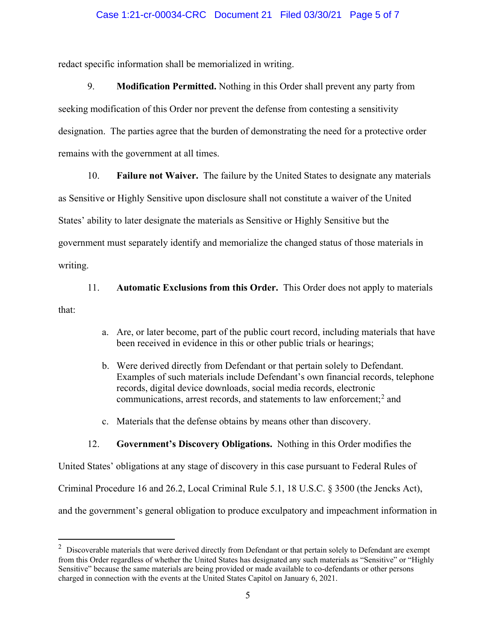#### Case 1:21-cr-00034-CRC Document 21 Filed 03/30/21 Page 5 of 7

redact specific information shall be memorialized in writing.

9. **Modification Permitted.** Nothing in this Order shall prevent any party from seeking modification of this Order nor prevent the defense from contesting a sensitivity designation. The parties agree that the burden of demonstrating the need for a protective order remains with the government at all times.

10. **Failure not Waiver.** The failure by the United States to designate any materials

as Sensitive or Highly Sensitive upon disclosure shall not constitute a waiver of the United

States' ability to later designate the materials as Sensitive or Highly Sensitive but the

government must separately identify and memorialize the changed status of those materials in

writing.

11. **Automatic Exclusions from this Order.** This Order does not apply to materials

that:

- a. Are, or later become, part of the public court record, including materials that have been received in evidence in this or other public trials or hearings;
- b. Were derived directly from Defendant or that pertain solely to Defendant. Examples of such materials include Defendant's own financial records, telephone records, digital device downloads, social media records, electronic communications, arrest records, and statements to law enforcement;<sup>2</sup> and
- c. Materials that the defense obtains by means other than discovery.

#### 12. **Government's Discovery Obligations.** Nothing in this Order modifies the

United States' obligations at any stage of discovery in this case pursuant to Federal Rules of Criminal Procedure 16 and 26.2, Local Criminal Rule 5.1, 18 U.S.C. § 3500 (the Jencks Act), and the government's general obligation to produce exculpatory and impeachment information in

 $2$  Discoverable materials that were derived directly from Defendant or that pertain solely to Defendant are exempt from this Order regardless of whether the United States has designated any such materials as "Sensitive" or "Highly Sensitive" because the same materials are being provided or made available to co-defendants or other persons charged in connection with the events at the United States Capitol on January 6, 2021.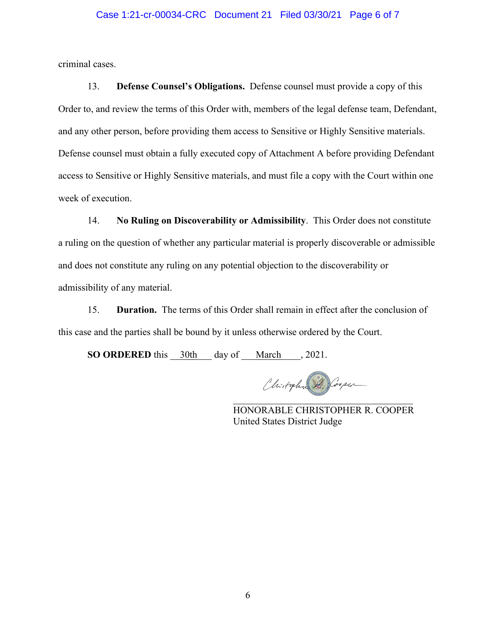#### Case 1:21-cr-00034-CRC Document 21 Filed 03/30/21 Page 6 of 7

criminal cases.

13. **Defense Counsel's Obligations.** Defense counsel must provide a copy of this Order to, and review the terms of this Order with, members of the legal defense team, Defendant, and any other person, before providing them access to Sensitive or Highly Sensitive materials. Defense counsel must obtain a fully executed copy of Attachment A before providing Defendant access to Sensitive or Highly Sensitive materials, and must file a copy with the Court within one week of execution.

14. **No Ruling on Discoverability or Admissibility**. This Order does not constitute a ruling on the question of whether any particular material is properly discoverable or admissible and does not constitute any ruling on any potential objection to the discoverability or admissibility of any material.

15. **Duration.** The terms of this Order shall remain in effect after the conclusion of this case and the parties shall be bound by it unless otherwise ordered by the Court.

**SO ORDERED** this  $30th$  day of March , 2021.

Chistopher R. Cooper  $\overline{\phantom{a}}$  , where  $\overline{\phantom{a}}$  , where  $\overline{\phantom{a}}$  , where  $\overline{\phantom{a}}$  , where  $\overline{\phantom{a}}$ 

HONORABLE CHRISTOPHER R. COOPER United States District Judge